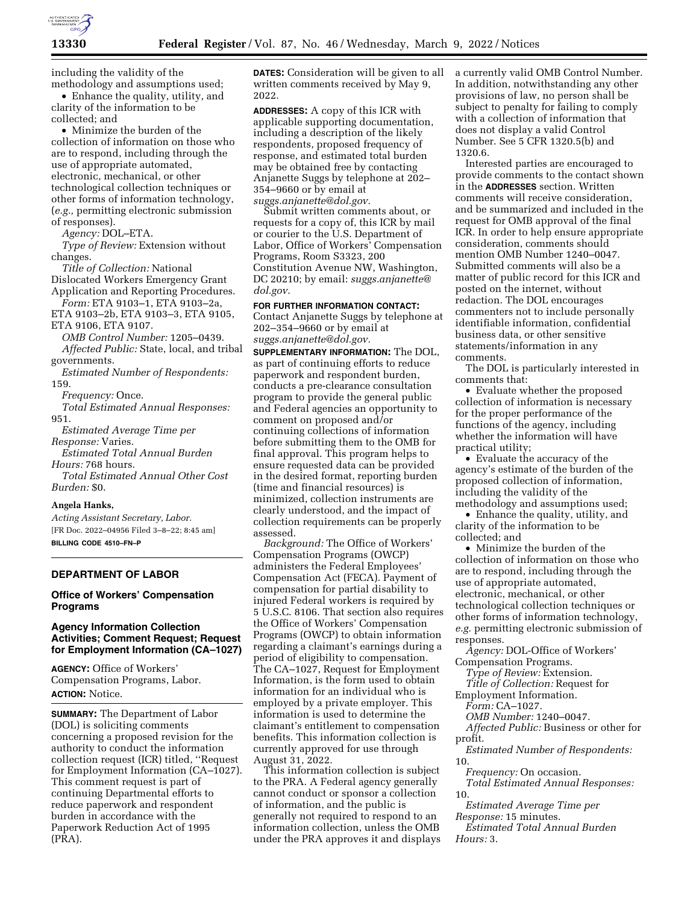

including the validity of the methodology and assumptions used;

• Enhance the quality, utility, and clarity of the information to be collected; and

• Minimize the burden of the collection of information on those who are to respond, including through the use of appropriate automated, electronic, mechanical, or other technological collection techniques or other forms of information technology, (*e.g.,* permitting electronic submission of responses).

*Agency:* DOL–ETA.

*Type of Review:* Extension without changes.

*Title of Collection:* National Dislocated Workers Emergency Grant Application and Reporting Procedures.

*Form:* ETA 9103–1, ETA 9103–2a, ETA 9103–2b, ETA 9103–3, ETA 9105, ETA 9106, ETA 9107.

*OMB Control Number:* 1205–0439. *Affected Public:* State, local, and tribal governments.

*Estimated Number of Respondents:*  159.

*Frequency:* Once.

*Total Estimated Annual Responses:*  951.

*Estimated Average Time per Response:* Varies.

*Estimated Total Annual Burden Hours:* 768 hours.

*Total Estimated Annual Other Cost Burden:* \$0.

#### **Angela Hanks,**

*Acting Assistant Secretary, Labor.*  [FR Doc. 2022–04956 Filed 3–8–22; 8:45 am] **BILLING CODE 4510–FN–P** 

#### **DEPARTMENT OF LABOR**

### **Office of Workers' Compensation Programs**

### **Agency Information Collection Activities; Comment Request; Request for Employment Information (CA–1027)**

**AGENCY:** Office of Workers' Compensation Programs, Labor. **ACTION:** Notice.

**SUMMARY:** The Department of Labor (DOL) is soliciting comments concerning a proposed revision for the authority to conduct the information collection request (ICR) titled, ''Request for Employment Information (CA–1027). This comment request is part of continuing Departmental efforts to reduce paperwork and respondent burden in accordance with the Paperwork Reduction Act of 1995 (PRA).

**DATES:** Consideration will be given to all written comments received by May 9, 2022.

**ADDRESSES:** A copy of this ICR with applicable supporting documentation, including a description of the likely respondents, proposed frequency of response, and estimated total burden may be obtained free by contacting Anjanette Suggs by telephone at 202– 354–9660 or by email at *[suggs.anjanette@dol.gov.](mailto:suggs.anjanette@dol.gov)* 

Submit written comments about, or requests for a copy of, this ICR by mail or courier to the U.S. Department of Labor, Office of Workers' Compensation Programs, Room S3323, 200 Constitution Avenue NW, Washington, DC 20210; by email: *[suggs.anjanette@](mailto:suggs.anjanette@dol.gov) [dol.gov](mailto:suggs.anjanette@dol.gov)*.

# **FOR FURTHER INFORMATION CONTACT:**

Contact Anjanette Suggs by telephone at 202–354–9660 or by email at *[suggs.anjanette@dol.gov.](mailto:suggs.anjanette@dol.gov)* 

**SUPPLEMENTARY INFORMATION:** The DOL, as part of continuing efforts to reduce paperwork and respondent burden, conducts a pre-clearance consultation program to provide the general public and Federal agencies an opportunity to comment on proposed and/or continuing collections of information before submitting them to the OMB for final approval. This program helps to ensure requested data can be provided in the desired format, reporting burden (time and financial resources) is minimized, collection instruments are clearly understood, and the impact of collection requirements can be properly assessed.

*Background:* The Office of Workers' Compensation Programs (OWCP) administers the Federal Employees' Compensation Act (FECA). Payment of compensation for partial disability to injured Federal workers is required by 5 U.S.C. 8106. That section also requires the Office of Workers' Compensation Programs (OWCP) to obtain information regarding a claimant's earnings during a period of eligibility to compensation. The CA–1027, Request for Employment Information, is the form used to obtain information for an individual who is employed by a private employer. This information is used to determine the claimant's entitlement to compensation benefits. This information collection is currently approved for use through August 31, 2022.

This information collection is subject to the PRA. A Federal agency generally cannot conduct or sponsor a collection of information, and the public is generally not required to respond to an information collection, unless the OMB under the PRA approves it and displays a currently valid OMB Control Number. In addition, notwithstanding any other provisions of law, no person shall be subject to penalty for failing to comply with a collection of information that does not display a valid Control Number. See 5 CFR 1320.5(b) and 1320.6.

Interested parties are encouraged to provide comments to the contact shown in the **ADDRESSES** section. Written comments will receive consideration, and be summarized and included in the request for OMB approval of the final ICR. In order to help ensure appropriate consideration, comments should mention OMB Number 1240–0047. Submitted comments will also be a matter of public record for this ICR and posted on the internet, without redaction. The DOL encourages commenters not to include personally identifiable information, confidential business data, or other sensitive statements/information in any comments.

The DOL is particularly interested in comments that:

• Evaluate whether the proposed collection of information is necessary for the proper performance of the functions of the agency, including whether the information will have practical utility;

• Evaluate the accuracy of the agency's estimate of the burden of the proposed collection of information, including the validity of the methodology and assumptions used;

• Enhance the quality, utility, and clarity of the information to be collected; and

• Minimize the burden of the collection of information on those who are to respond, including through the use of appropriate automated, electronic, mechanical, or other technological collection techniques or other forms of information technology, *e.g.* permitting electronic submission of responses.

*Agency:* DOL-Office of Workers' Compensation Programs.

*Type of Review:* Extension.

*Title of Collection:* Request for

Employment Information.

*Form:* CA–1027. *OMB Number:* 1240–0047.

*Affected Public:* Business or other for profit.

*Estimated Number of Respondents:* 

10.

*Frequency:* On occasion. *Total Estimated Annual Responses:*  10.

*Estimated Average Time per Response:* 15 minutes.

*Estimated Total Annual Burden Hours:* 3.